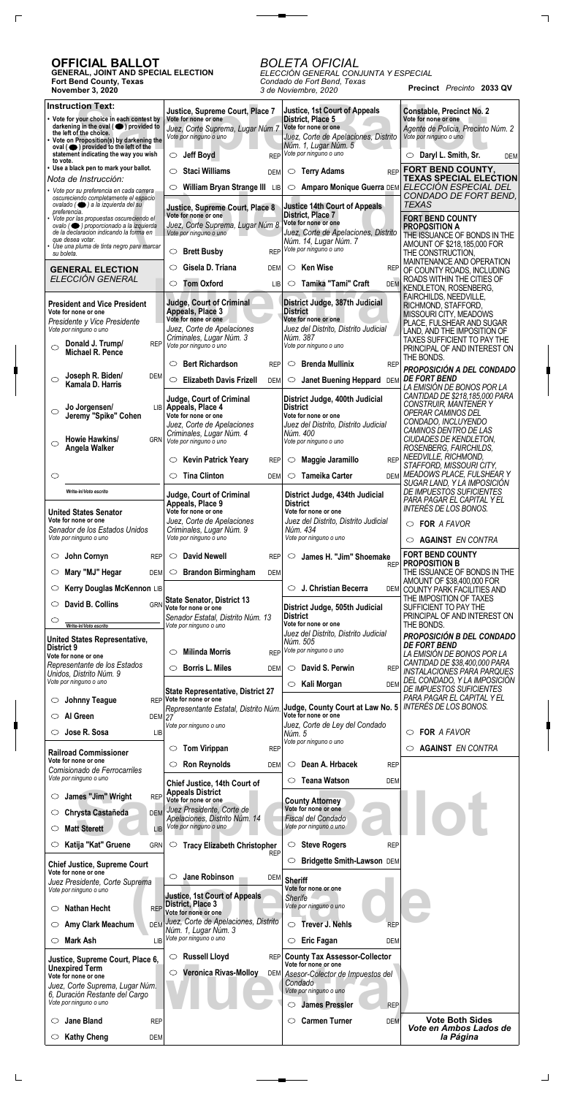## **OFFICIAL BALLOT**

**GENERAL, JOINT AND SPECIAL ELECTION Fort Bend County, Texas November 3, 2020**

**Precinct** *Precinto* **2033 QV** *ELECCIÓN GENERAL CONJUNTA Y ESPECIAL Condado de Fort Bend, Texas 3 de Noviembre, 2020*

## *BOLETA OFICIAL*

**Solution Text:**<br>
your choice in each contest by Vote for none or one<br>
of the consider (
Suppliers of the choice, Corte Supprema, Lugar Núm 7<br>
Proposition(s) by darkening the Vote por ninguno o uno<br> **Sample in the choice, Instruction Text: Justice, 1st Court of Appeals Justice, Supreme Court, Place 7 Constable, Precinct No. 2 Vote for none or one District, Place 5 Vote for none or one • Vote for your choice in each contest by darkening in the oval ( ) provided to Vote for none or one** *Agente de Policia, Precinto Núm. 2 Juez, Corte Suprema, Lugar Núm 7* **the left of the choice.** *Juez, Corte de Apelaciones, Distrito Vote por ninguno o uno Vote por ninguno o uno* **• Vote on Proposition(s) by darkening the** *Núm. 1, Lugar Núm. 5* **oval ( ) provided to the left of the** *Vote por ninguno o uno* **statement indicating the way you wish**  $\circ$  **Jeff Boyd** REI  $\circ$  **Daryl L. Smith, Sr.** DEM **to vote. • Use a black pen to mark your ballot. FORT BEND COUNTY, Staci Williams** DEM **Terry Adams** REF **TEXAS SPECIAL ELECTION** *Nota de Instrucción:* **William Bryan Strange III** LIB **Amparo Monique Guerra** DEM *ELECCIÓN ESPECIAL DEL* FORT Behacion of Appeals<br>
Property of Appeals<br>
Property of Appeals<br>
Property of Appeals<br>
Property of Appeals<br>
Vote for none or one<br>
Vote por ninguno o uno<br>
Vote por ninguno o uno<br>
Norma en Vote por ninguno o uno<br>
PROPOS<br>
N *• Vote por su preferencia en cada carrera CONDADO DE FORT BEND, oscureciendo completamente el espacio ovalado ( ) a la izquierda del su TEXAS* **Justice 14th Court of Appeals Justice, Supreme Court, Place 8** *preferencia.* **Vote for none or one District, Place 7 FORT BEND COUNTY** *• Vote por las propuestas oscureciendo el* **Vote for none or one** *Juez, Corte Suprema, Lugar Núm 8 ovalo ( ) proporcionado a la izquierda* **PROPOSITION A** *Juez, Corte de Apelaciones, Distrito de la declaracion indicando la forma en Vote por ninguno o uno* THE ISSUANCE OF BONDS IN THE *que desea votar. • Use una pluma de tinta negro para marcar Núm. 14, Lugar Núm. 7* AMOUNT OF \$218,185,000 FOR *Vote por ninguno o uno* **Brett Busby** REP *su boleta.* THE CONSTRUCTION, MAINTENANCE AND OPERATION **Ken Wise** REP **Gisela D. Triana** DEM **GENERAL ELECTION** OF COUNTY ROADS, INCLUDING Tom Oxford<br>
UB Comic Tamika "Tami" Craft<br>
Undge, Court of Criminal<br>
Appeals, Place 3<br>
Vote for none or one<br>
Unez, Corte de Apelaciones<br>
Unex del Distrito, Distrito Judicial<br>
PLACION PLACION Distrito Distrito Judicial<br>
PLAC *ELECCIÓN GENERAL* ROADS WITHIN THE CITIES OF **Tom Oxford** LIB **Tamika "Tami" Craft** DEM KENDLETON, ROSENBERG, FAIRCHILDS, NEEDVILLE, **President and Vice President Judge, Court of Criminal District Judge, 387th Judicial** RICHMOND, STAFFORD, **Appeals, Place 3 District** MISSOURI CITY, MEADOWS **Vote for none or one Vote for none or one Vote for none or one** *Presidente y Vice Presidente* PLACE, FULSHEAR AND SUGAR *Vote por ninguno o uno Juez, Corte de Apelaciones Juez del Distrito, Distrito Judicial* LAND, AND THE IMPOSITION OF *Criminales, Lugar Núm. 3 Núm. 387* TAXES SUFFICIENT TO PAY THE **Donald J. Trump/** REP *Vote por ninguno o uno Vote por ninguno o uno*  $\circ$ PRINCIPAL OF AND INTEREST ON **Michael R. Pence** THE BONDS. **Bert Richardson** REP **Brenda Mullinix** REP *PROPOSICIÓN A DEL CONDADO* **Joseph R. Biden/** DEM *DE FORT BEND*  $\bigcirc$ **Elizabeth Davis Frizell** DEM **Janet Buening Heppard** DEM **Kamala D. Harris** *LA EMISIÓN DE BONOS POR LA CANTIDAD DE \$218,185,000 PARA* **Judge, Court of Criminal District Judge, 400th Judicial** *CONSTRUIR, MANTENER Y* **Jo Jorgensen/** LIB **Appeals, Place 4 District**  $\circ$ *OPERAR CAMINOS DEL* **Jeremy "Spike" Cohen Vote for none or one Vote for none or one** *CONDADO, INCLUYENDO Juez del Distrito, Distrito Judicial Juez, Corte de Apelaciones CAMINOS DENTRO DE LAS Criminales, Lugar Núm. 4 Núm. 400 CIUDADES DE KENDLETON,* **Howie Hawkins/** GRN *Vote por ninguno o uno Vote por ninguno o uno*  $\circ$ *ROSENBERG, FAIRCHILDS,* **Angela Walker** *NEEDVILLE, RICHMOND,* **Kevin Patrick Yeary** REP **Maggie Jaramillo** REP *STAFFORD, MISSOURI CITY, MEADOWS PLACE, FULSHEAR Y*  $\circ$ **Tina Clinton** DEM **Tameika Carter** DEM *SUGAR LAND, Y LA IMPOSICIÓN DE IMPUESTOS SUFICIENTES* **Write-in Write-in/***Voto escrito* **Judge, Court of Criminal District Judge, 434th Judicial** *PARA PAGAR EL CAPITAL Y EL* **Appeals, Place 9 District** *INTERÉS DE LOS BONOS.* **Vote for none or one Vote for none or one United States Senator Vote for none or one** *Juez, Corte de Apelaciones Juez del Distrito, Distrito Judicial* **FOR FOR** *A FAVOR Senador de los Estados Unidos Criminales, Lugar Núm. 9 Núm. 434 Vote por ninguno o uno Vote por ninguno o uno Vote por ninguno o uno* **AGAINST AGAINST** *EN CONTRA* **FORT BEND COUNTY** ○ **John Cornyn** REF **David Newell** REP **James H. "Jim" Shoemake PROPOSITION B** REP THE ISSUANCE OF BONDS IN THE **Brandon Birmingham** DEM  $\bigcirc$  **Mary "MJ" Hegar** DEM AMOUNT OF \$38,400,000 FOR **Kerry Douglas McKennon** LIB  $\circlearrowright$  **J. Christian Becerra** DEM COUNTY PARK FACILITIES AND THE IMPOSITION OF TAXES **State Senator, District 13**  $\circ$  **David B. Collins** GRN SUFFICIENT TO PAY THE **District Judge, 505th Judicial Vote for none or one** PRINCIPAL OF AND INTEREST ON **District** *Senador Estatal, Distrito Núm. 13*  $\circ$ **Vote for none or one** THE BONDS. *Vote por ninguno o uno* **Write-in/***Voto escrito Juez del Distrito, Distrito Judicial PROPOSICIÓN B DEL CONDADO* **United States Representative,** *Núm. 505 DE FORT BEND* **District 9** *Vote por ninguno o uno* **Milinda Morris** REP *LA EMISIÓN DE BONOS POR LA* **Vote for none or one** *CANTIDAD DE \$38,400,000 PARA Representante de los Estados* **Borris L. Miles** DEM **David S. Perwin** REP *INSTALACIONES PARA PARQUES Unidos, Distrito Núm. 9 DEL CONDADO, Y LA IMPOSICIÓN Vote por ninguno o uno* **EXALI Morgan** DEM *DE IMPUESTOS SUFICIENTES* **State Representative, District 27** *PARA PAGAR EL CAPITAL Y EL* **Vote for none or one Johnny Teague** REP **Judge, County Court at Law No. 5** *INTERÉS DE LOS BONOS. Representante Estatal, Distrito Núm.* **Vote for none or one**  $\bigcirc$  **Al Green** DEM *27 Juez, Corte de Ley del Condado Vote por ninguno o uno* **Jose R. Sosa** LIB **FOR** *A FAVOR Núm. 5 Vote por ninguno o uno* **Tom Virippan** REP **AGAINST AGAINST** *EN CONTRA***Railroad Commissioner Vote for none or one Dean A. Hrbacek** REP **Ron Reynolds** DEM *Comisionado de Ferrocarriles*

| Vote por ninguno o uno                                                                                                                                                           | Chief Justice, 14th Court of                                                                                                            | <b>Teana Watson</b><br><b>DEM</b>                                                                                                                                                |                                                  |
|----------------------------------------------------------------------------------------------------------------------------------------------------------------------------------|-----------------------------------------------------------------------------------------------------------------------------------------|----------------------------------------------------------------------------------------------------------------------------------------------------------------------------------|--------------------------------------------------|
| James "Jim" Wright<br><b>REP</b><br>O<br>Chrysta Castañeda<br><b>DEM</b><br>O<br><b>Matt Sterett</b><br>LIB                                                                      | <b>Appeals District</b><br>Vote for none or one<br>Juez Presidente, Corte de<br>Apelaciones, Distrito Núm. 14<br>Vote por ninguno o uno | <b>County Attorney</b><br>Vote for none or one<br>Fiscal del Condado<br>Vote por ninguno o uno                                                                                   |                                                  |
| Katija "Kat" Gruene<br><b>GRN</b>                                                                                                                                                | <b>Tracy Elizabeth Christopher</b><br>O                                                                                                 | <b>Steve Rogers</b><br><b>REP</b><br>O                                                                                                                                           |                                                  |
| <b>Chief Justice, Supreme Court</b>                                                                                                                                              | <b>REP</b>                                                                                                                              | <b>Bridgette Smith-Lawson DEM</b>                                                                                                                                                |                                                  |
| Vote for none or one<br>Juez Presidente, Corte Suprema<br>Vote por ninguno o uno                                                                                                 | <b>Jane Robinson</b><br>C<br>DEM<br><b>Justice, 1st Court of Appeals</b>                                                                | <b>Sheriff</b><br>Vote for none or one<br>Sherife                                                                                                                                |                                                  |
| <b>Nathan Hecht</b><br><b>REP</b>                                                                                                                                                | <b>District, Place 3</b><br>Vote for none or one                                                                                        | Vote por ninguno o uno                                                                                                                                                           |                                                  |
| Amy Clark Meachum                                                                                                                                                                | DEM Juez, Corte de Apelaciones, Distrito<br>Núm. 1, Lugar Núm. 3                                                                        | <b>Trever J. Nehls</b><br>◯<br><b>REP</b>                                                                                                                                        |                                                  |
| <b>Mark Ash</b><br>O                                                                                                                                                             | LIB Vote por ninguno o uno                                                                                                              | <b>Eric Fagan</b><br><b>DEM</b>                                                                                                                                                  |                                                  |
| Justice, Supreme Court, Place 6,<br><b>Unexpired Term</b><br>Vote for none or one<br>Juez, Corte Suprema, Lugar Núm.<br>6, Duración Restante del Cargo<br>Vote por ninguno o uno | <b>Russell Lloyd</b><br><b>REP</b><br>$\circ$<br><b>Veronica Rivas-Molloy</b><br>O                                                      | <b>County Tax Assessor-Collector</b><br>Vote for none or one<br>DEM Asesor-Colector de Impuestos del<br>Condado<br>Vote por ninguno o uno<br><b>James Pressler</b><br><b>REP</b> |                                                  |
| <b>Jane Bland</b><br><b>REP</b><br>◯                                                                                                                                             |                                                                                                                                         | <b>Carmen Turner</b><br><b>DEM</b>                                                                                                                                               | <b>Vote Both Sides</b><br>Vote en Ambos Lados de |
| <b>Kathy Cheng</b><br><b>DEM</b><br>$\circ$                                                                                                                                      |                                                                                                                                         |                                                                                                                                                                                  | la Página                                        |

*Vote por ninguno o uno*